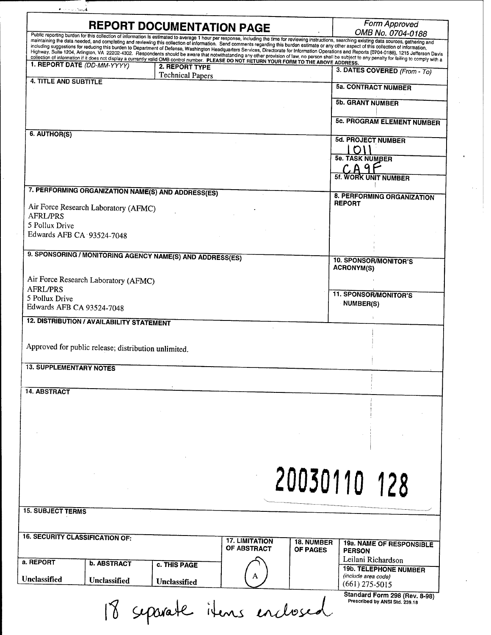| <b>REPORT DOCUMENTATION PAGE</b>                                                                                                                                                                                                                                                                                                                                                                       |                                           |                               | Form Approved                                     |
|--------------------------------------------------------------------------------------------------------------------------------------------------------------------------------------------------------------------------------------------------------------------------------------------------------------------------------------------------------------------------------------------------------|-------------------------------------------|-------------------------------|---------------------------------------------------|
| Public reporting burden for this collection of information is estimated to average 1 hour per response, including the time for reviewing instructions, searching existing data sources, gathering and<br>maintaining the data needed, and completing and reviewing this collection of information. Send comments regarding this burden estimate or any other aspect of this collection of information, |                                           |                               | OMB No. 0704-0188                                 |
| including suggestions for reducing this burden to Department of Defense, Washington Headquarters Services, Directorate for Information Operations and Reports (0704-0188), 1215 Jefferson Davis                                                                                                                                                                                                        |                                           |                               |                                                   |
| Highway, Suite 1204, Arlington, VA 22202-4302. Respondents should be aware that notwithstanding any other provision of law, no person shall be subject to any penalty for failing to comply with a<br>collection of information if it does not display a currently valid OMB control number. PLEASE DO NOT RETURN YOUR FORM TO THE ABOVE ADDRESS.<br>1. REPORT DATE (DD-MM-YYYY)                       |                                           |                               |                                                   |
|                                                                                                                                                                                                                                                                                                                                                                                                        | 2. REPORT TYPE<br><b>Technical Papers</b> |                               | 3. DATES COVERED (From - To)                      |
| <b>4. TITLE AND SUBTITLE</b>                                                                                                                                                                                                                                                                                                                                                                           |                                           |                               | <b>5a. CONTRACT NUMBER</b>                        |
|                                                                                                                                                                                                                                                                                                                                                                                                        |                                           |                               | <b>5b. GRANT NUMBER</b>                           |
|                                                                                                                                                                                                                                                                                                                                                                                                        |                                           |                               |                                                   |
|                                                                                                                                                                                                                                                                                                                                                                                                        |                                           |                               | <b>5c. PROGRAM ELEMENT NUMBER</b>                 |
| 6. AUTHOR(S)                                                                                                                                                                                                                                                                                                                                                                                           |                                           |                               | <b>5d. PROJECT NUMBER</b>                         |
|                                                                                                                                                                                                                                                                                                                                                                                                        |                                           |                               |                                                   |
|                                                                                                                                                                                                                                                                                                                                                                                                        |                                           |                               | <b>5e. TASK NUMBER</b>                            |
|                                                                                                                                                                                                                                                                                                                                                                                                        |                                           |                               | 5f. WORK UNIT NUMBER                              |
|                                                                                                                                                                                                                                                                                                                                                                                                        |                                           |                               |                                                   |
| 7. PERFORMING ORGANIZATION NAME(S) AND ADDRESS(ES)                                                                                                                                                                                                                                                                                                                                                     |                                           |                               | 8. PERFORMING ORGANIZATION                        |
| Air Force Research Laboratory (AFMC)                                                                                                                                                                                                                                                                                                                                                                   |                                           |                               | <b>REPORT</b>                                     |
| <b>AFRL/PRS</b>                                                                                                                                                                                                                                                                                                                                                                                        |                                           |                               |                                                   |
| 5 Pollux Drive                                                                                                                                                                                                                                                                                                                                                                                         |                                           |                               |                                                   |
| Edwards AFB CA 93524-7048                                                                                                                                                                                                                                                                                                                                                                              |                                           |                               |                                                   |
| 9. SPONSORING / MONITORING AGENCY NAME(S) AND ADDRESS(ES)                                                                                                                                                                                                                                                                                                                                              |                                           |                               |                                                   |
|                                                                                                                                                                                                                                                                                                                                                                                                        |                                           |                               | <b>10. SPONSOR/MONITOR'S</b><br><b>ACRONYM(S)</b> |
| Air Force Research Laboratory (AFMC)                                                                                                                                                                                                                                                                                                                                                                   |                                           |                               |                                                   |
| <b>AFRL/PRS</b>                                                                                                                                                                                                                                                                                                                                                                                        |                                           |                               |                                                   |
| 5 Pollux Drive                                                                                                                                                                                                                                                                                                                                                                                         |                                           |                               | <b>11. SPONSOR/MONITOR'S</b>                      |
| Edwards AFB CA 93524-7048                                                                                                                                                                                                                                                                                                                                                                              |                                           |                               | <b>NUMBER(S)</b>                                  |
| <b>12. DISTRIBUTION / AVAILABILITY STATEMENT</b>                                                                                                                                                                                                                                                                                                                                                       |                                           |                               |                                                   |
|                                                                                                                                                                                                                                                                                                                                                                                                        |                                           |                               |                                                   |
| Approved for public release; distribution unlimited.                                                                                                                                                                                                                                                                                                                                                   |                                           |                               |                                                   |
|                                                                                                                                                                                                                                                                                                                                                                                                        |                                           |                               |                                                   |
| <b>13. SUPPLEMENTARY NOTES</b>                                                                                                                                                                                                                                                                                                                                                                         |                                           |                               |                                                   |
|                                                                                                                                                                                                                                                                                                                                                                                                        |                                           |                               |                                                   |
| <b>14. ABSTRACT</b>                                                                                                                                                                                                                                                                                                                                                                                    |                                           |                               |                                                   |
|                                                                                                                                                                                                                                                                                                                                                                                                        |                                           |                               |                                                   |
|                                                                                                                                                                                                                                                                                                                                                                                                        |                                           |                               |                                                   |
|                                                                                                                                                                                                                                                                                                                                                                                                        |                                           |                               |                                                   |
|                                                                                                                                                                                                                                                                                                                                                                                                        |                                           |                               |                                                   |
|                                                                                                                                                                                                                                                                                                                                                                                                        |                                           |                               |                                                   |
|                                                                                                                                                                                                                                                                                                                                                                                                        |                                           |                               |                                                   |
|                                                                                                                                                                                                                                                                                                                                                                                                        |                                           |                               |                                                   |
|                                                                                                                                                                                                                                                                                                                                                                                                        |                                           |                               |                                                   |
|                                                                                                                                                                                                                                                                                                                                                                                                        |                                           |                               |                                                   |
|                                                                                                                                                                                                                                                                                                                                                                                                        |                                           |                               | 20030110 128                                      |
|                                                                                                                                                                                                                                                                                                                                                                                                        |                                           |                               |                                                   |
| <b>15. SUBJECT TERMS</b>                                                                                                                                                                                                                                                                                                                                                                               |                                           |                               |                                                   |
|                                                                                                                                                                                                                                                                                                                                                                                                        |                                           |                               |                                                   |
| <b>16. SECURITY CLASSIFICATION OF:</b>                                                                                                                                                                                                                                                                                                                                                                 | <b>17. LIMITATION</b>                     |                               |                                                   |
|                                                                                                                                                                                                                                                                                                                                                                                                        | OF ABSTRACT                               | 18. NUMBER<br><b>OF PAGES</b> | <b>19a. NAME OF RESPONSIBLE</b><br><b>PERSON</b>  |
| a. REPORT<br><b>b. ABSTRACT</b>                                                                                                                                                                                                                                                                                                                                                                        |                                           |                               | Leilani Richardson                                |
|                                                                                                                                                                                                                                                                                                                                                                                                        | c. THIS PAGE                              |                               | <b>19b. TELEPHONE NUMBER</b>                      |
| Unclassified<br>Unclassified                                                                                                                                                                                                                                                                                                                                                                           | Unclassified                              |                               | (include area code)<br>$(661)$ 275-5015           |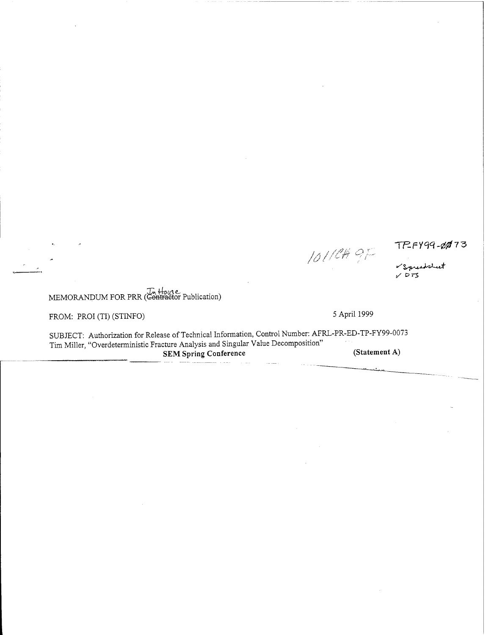*o*

# *TnM^-00T5*

V Spreadsheet  $\times$  573

MEMORANDUM FOR PRR (Gontraetor Publication)

FROM: PROI (TI) (STINFO) 5 April 1999

SUBJECT: Authorization for Release of Technical Information, Control Number: AFRL-PR-ED-TP-FY99-0073 Tim Miller, "Overdeterministic Fracture Analysis and Singular Value Decomposition" **SEM Spring Conference (Statement A)**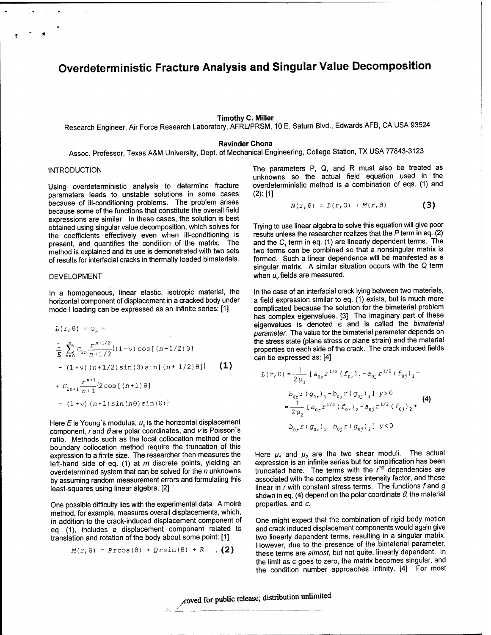# **Overdeterministic Fracture Analysis and Singular Value Decomposition**

#### **Timothy C. Miller**

Research Engineer, Air Force Research Laboratory, AFRL/PRSM, 10 E. Saturn Blvd., Edwards AFB, CA USA 93524

#### **Ravinder Chona**

Assoc. Professor, Texas A&M University, Dept. of Mechanical Engineering, College Station, TX USA 77843-3123

#### INTRODUCTION

Using overdeterministic analysis to determine fracture parameters leads to unstable solutions in some cases because of ill-conditioning problems. The problem arises because some of the functions that constitute the overall field expressions are similar. In these cases, the solution is best obtained using singular value decomposition, which solves for the coefficients effectively even when ill-conditioning is present, and quantifies the condition of the matrix. The method is explained and its use is demonstrated with two sets of results for interfacial cracks in thermally loaded bimaterials.

#### DEVELOPMENT

In a homogeneous, linear elastic, isotropic material, the horizontal component of displacement in a cracked body under mode <sup>I</sup> loading can be expressed as an infinite series: [1]

$$
L(r, \theta) = u_x =
$$
\n
$$
\frac{1}{E} \sum_{n=0}^{\infty} C_{2n} \frac{r^{n+1/2}}{n+1/2} \{(1-\nu)\cos[(n+1/2)\theta] - (1+\nu)(n+1/2)\sin(\theta)\sin[(n+1/2)\theta]\}
$$
\n(1)  
\n+  $C_{2n+1} \frac{r^{n+1}}{n+1} \{2\cos[(n+1)\theta] - (1+\nu)(n+1)\sin(n\theta)\sin(\theta)\}$ 

Here  $E$  is Young's modulus,  $u_x$  is the horizontal displacement component, r and  $\theta$  are polar coordinates, and  $\nu$  is Poisson's ratio. Methods such as the local collocation method or the boundary collocation method require the truncation of this expression to a finite size. The researcher then measures the left-hand side of eq. (1) at *m* discrete points, yielding an overdetermined system that can be solved for the *n* unknowns by assuming random measurement errors and formulating this least-squares using linear algebra. [2]

One possible difficulty lies with the experimental data. A moire method, for example, measures overall displacements, which, in addition to the crack-induced displacement component of eq. (1), includes a displacement component related to translation and rotation of the body about some point: [1]

$$
M(r, \theta) = \text{Process}(\theta) + \text{Qrsin}(\theta) + R \quad . \tag{2}
$$

The parameters P, Q, and R must also be treated as unknowns so the actual field equation used in the overdeterministic method is a combination of eqs. (1) and (2): [1]

$$
N(r, \theta) = L(r, \theta) + M(r, \theta)
$$
 (3)

Trying to use linear algebra to solve this equation will give poor results unless the researcher realizes that the Pterm in eq. (2) and the *C<sup>1</sup>* term in eq. (1) are linearly dependent terms. The two terms can be combined so that a nonsingular matrix is formed. Such a linear dependence will be manifested as a singular matrix. A similar situation occurs with the Q term when *u<sub>v</sub>* fields are measured.

In the case of an interfacial crack lying between two materials, a field expression similar to eq. (1) exists, but is much more complicated because the solution for the bimaterial problem has complex eigenvalues. [3] The imaginary part of these eigenvalues is denoted e and is called the *bimaterial parameter.* The value for the bimaterial parameter depends on the stress state (plane stress or plane strain) and the material properties on each side of the crack. The crack induced fields can be expressed as: [4]

$$
L(r, \theta) = \frac{1}{2\mu_1} [a_{0r}r^{1/2} (f_{0r})_1 - a_{0j}r^{1/2} (f_{0j})_1 +
$$
  
\n
$$
b_{0r}r (g_{0r})_1 - b_{0j}r (g_{0j})_1] y \ge 0
$$
  
\n
$$
= \frac{1}{2\mu_2} [a_{0r}r^{1/2} (f_{0r})_2 - a_{0j}r^{1/2} (f_{0j})_2 +
$$
  
\n
$$
b_{0r}r (g_{0r})_2 - b_{0j}r (g_{0j})_2] y < 0
$$

Here  $\mu_1$  and  $\mu_2$  are the two shear moduli. The actual expression is an infinite series but for simplification has been truncated here. The terms with the *r 1/2* dependencies are associated with the complex stress intensity factor, and those linear in rwith constant stress terms. The functions fand *g* shown in eq. (4) depend on the polar coordinate  $\theta$ , the material properties, and *e.*

One might expect that the combination of rigid body motion and crack induced displacement components would again give two linearly dependent terms, resulting in a singular matrix. However, due to the presence of the bimaterial parameter, these terms are *almost,* but not quite, linearly dependent. In the limit as e goes to zero, the matrix becomes singular, and the condition number approaches infinity. [4] For most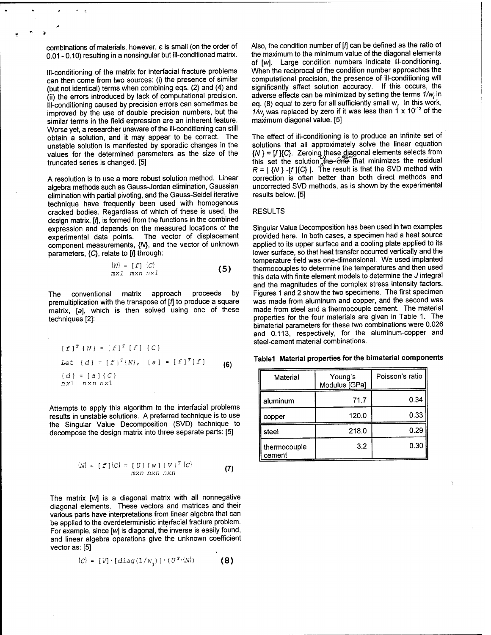combinations of materials, however, e is small (on the order of 0.01 - 0.10) resulting in a nonsingular but ill-conditioned matrix.

 $\mathbb{R}^2$ 

Ill-conditioning of the matrix for interfacial fracture problems can then come from two sources: (i) the presence of similar (but not identical) terms when combining eqs. (2) and (4) and (ii) the errors introduced by lack of computational precision. Ill-conditioning caused by precision errors can sometimes be improved by the use of double precision numbers, but the similar terms in the field expression are an inherent feature. Worse yet, a researcher unaware of the ill-conditioning can still obtain a solution, and it may appear to be correct. The unstable solution is manifested by sporadic changes in the values for the determined parameters as the size of the truncated series is changed. [5]

A resolution is to use a more robust solution method. Linear algebra methods such as Gauss-Jordan elimination, Gaussian elimination with partial pivoting, and the Gauss-Seidel iterative technique have frequently been used with homogenous cracked bodies. Regardless of which of these is used, the design matrix, [f], is formed from the functions in the combined expression and depends on the measured locations of the experimental data points. The vector of displacement component measurements, {A/}, and the vector of unknown parameters,  ${C}$ , relate to [f] through:

$$
\begin{array}{ll}\n\{N\} = [f] & \{C\} \\
mx1 & mxn & nx1\n\end{array}
$$
\n(5)

The conventional matrix approach proceeds by premultiplication with the transpose of *[f\* to produce a square matrix, [a], which is then solved using one of these techniques [2]:

$$
[f]^{T} \{N\} = [f]^{T} [f] \{C\}
$$
  
Let 
$$
\{d\} = [f]^{T} \{N\}, \quad [a] = [f]^{T} [f]
$$

$$
\{d\} = [a] \{C\}
$$

$$
nx1 \quad nxn nx1
$$
 (6)

Attempts to apply this algorithm to the interfacial problems results in unstable solutions. A preferred technique is to use the Singular Value Decomposition (SVD) technique to decompose the design matrix into three separate parts: [5]

$$
\{N\} = [f] \{C\} = [U] [W] [V]^T \{C\}
$$
  
mxn nxn nxn (7)

The matrix *[w]* is a diagonal matrix with all nonnegative diagonal elements. These vectors and matrices and their various parts have interpretations from linear algebra that can be applied to the overdeterministic interfacial fracture problem. For example, since *[w]* is diagonal, the inverse is easily found, and linear algebra operations give the unknown coefficient vector as: [5]

$$
\{C\} = [V] \cdot [diag(1/w_{\gamma})] \cdot (U^{T} \cdot \{N\})
$$
 (8)

Also, the condition number of *[f\* can be defined as the ratio of the maximum to the minimum value of the diagonal elements of *[w].* Large condition numbers indicate ill-conditioning. When the reciprocal of the condition number approaches the computational precision, the presence of ill-conditioning will significantly affect solution accuracy. If this occurs, the adverse effects can be minimized by setting the terms *1/Wj* in eq. (8) equal to zero for all sufficiently small  $\mathsf{w}_{\text{j}}$  . In this work,  $1/w_j$  was replaced by zero if it was less than  $1 \times 10^{-12}$  of the maximum diagonal value. [5]

The effect of ill-conditioning is to produce an infinite set of solutions that all approximately solve the linear equation *{N}* = [f]{C}. Zeroing these diagonal elements selects from this set the solution the one That minimizes the residual  $R = | \{N\}$  -[f] $\{C\}$  |. The result is that the SVD method with correction is often better than both direct methods and uncorrected SVD methods, as is shown by the experimental results below. [5]

#### RESULTS

Singular Value Decomposition has been used in two examples provided here. In both cases, a specimen had a heat source applied to its upper surface and a cooling plate applied to its lower surface, so that heat transfer occurred vertically and the temperature field was one-dimensional. We used implanted thermocouples to determine the temperatures and then used this data with finite element models to determine the *J* integral and the magnitudes of the complex stress intensity factors. Figures <sup>1</sup> and 2 show the two specimens. The first specimen was made from aluminum and copper, and the second was made from steel and a thermocouple cement. The material properties for the four materials are given in Table 1. The bimaterial parameters for these two combinations were 0.026 and 0.113, respectively, for the aluminum-copper and steel-cement material combinations.

|  |  |  |  |  | Table1  Material properties for the bimaterial components |
|--|--|--|--|--|-----------------------------------------------------------|
|--|--|--|--|--|-----------------------------------------------------------|

| Material               | Young's<br>Modulus [GPa] | Poisson's ratio |
|------------------------|--------------------------|-----------------|
| aluminum               | 71.7                     | 0.34            |
| copper                 | 120.0                    | 0.331           |
| steel                  | 218.0                    | 0.29            |
| thermocouple<br>cement | 3.2                      | 0.30            |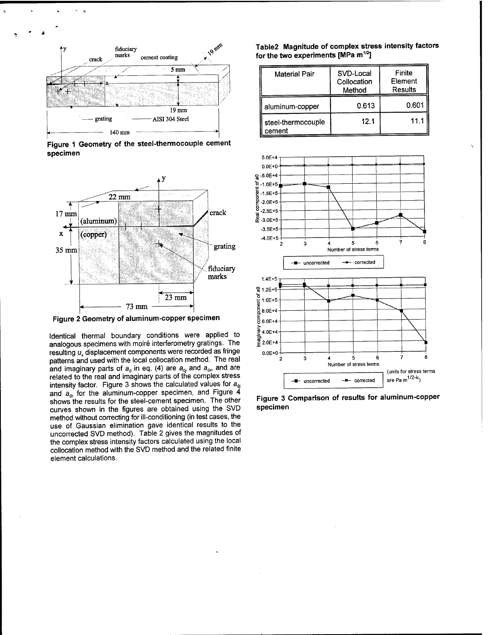

Figure 1 Geometry of the steel-thermocouple cement specimen



Figure 2 Geometry of aluminum-copper specimen

Identical thermal boundary conditions were applied to analogous specimens with moiré interferometry gratings. The resulting  $u<sub>x</sub>$  displacement components were recorded as fringe patterns and used with the local collocation method. The real and imaginary parts of  $a_0$  in eq. (4) are  $a_0$  and  $a_0$  and are related to the real and imaginary parts of the complex stress intensity factor. Figure 3 shows the calculated values for  $a_{0i}$ and  $a_{0r}$  for the aluminum-copper specimen, and Figure 4 shows the results for the steel-cement specimen. The other curves shown in the figures are obtained using the SVD method without correcting for ill-conditioning (in test cases, the use of Gaussian elimination gave identical results to the uncorrected SVD method). Table 2 gives the magnitudes of the complex stress intensity factors calculated using the local collocation method with the SVD method and the related finite element calculations.

## Table2 Magnitude of complex stress intensity factors for the two experiments [MPa m<sup>1/2</sup>]

| <b>Material Pair</b>         | SVD-Local<br>Collocation<br>Method | Finite<br>Element<br>Results |
|------------------------------|------------------------------------|------------------------------|
| aluminum-copper              | 0.613                              | 0.601                        |
| steel-thermocouple<br>cement | 12.1                               | 11.1                         |



Figure 3 Comparison of results for aluminum-copper specimen